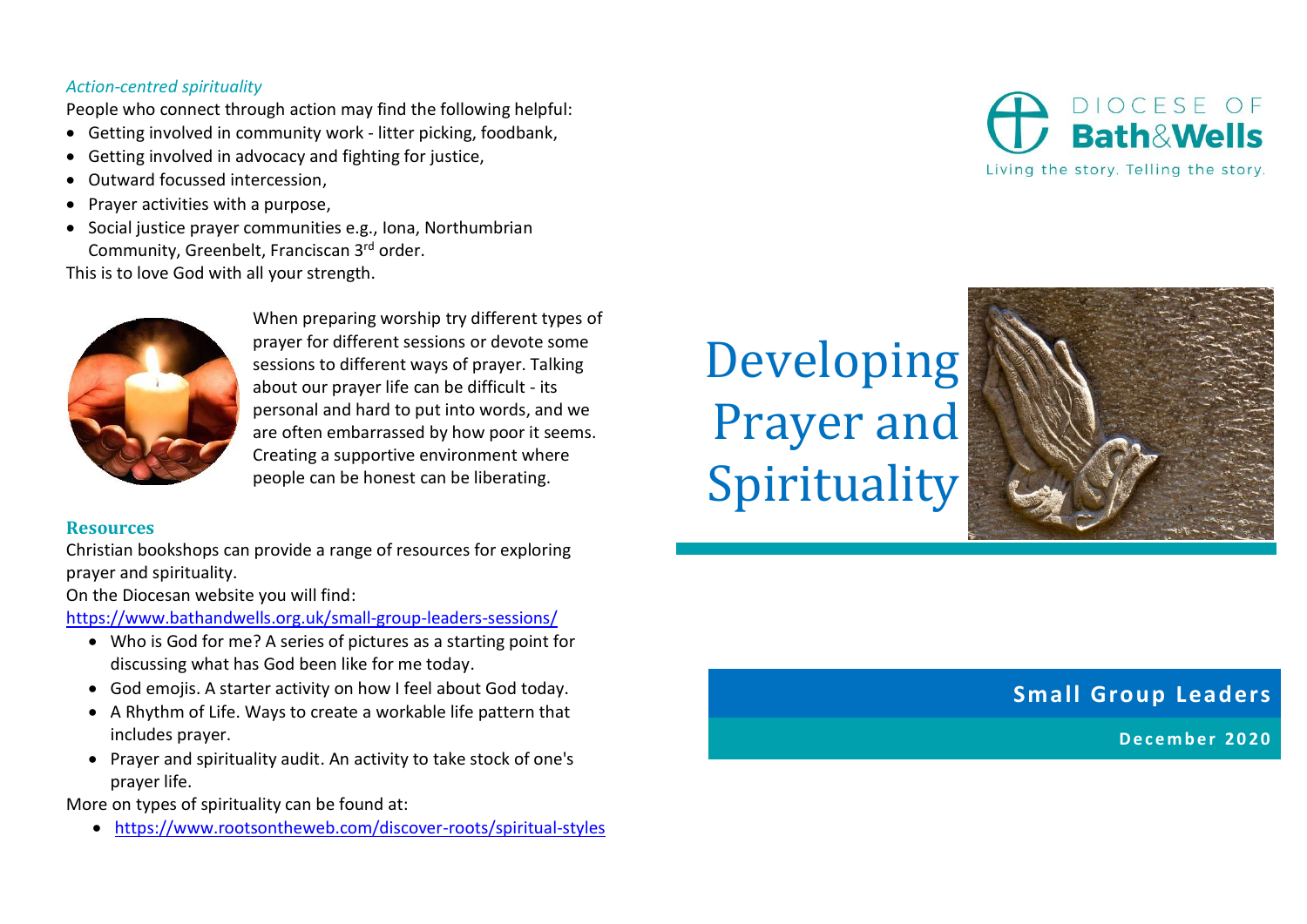## *Action-centred spirituality*

People who connect through action may find the following helpful:

- Getting involved in community work litter picking, foodbank,
- Getting involved in advocacy and fighting for justice,
- Outward focussed intercession,
- Prayer activities with a purpose,
- Social justice prayer communities e.g., Iona, Northumbrian Community, Greenbelt, Franciscan 3rd order.

This is to love God with all your strength.



When preparing worship try different types of prayer for different sessions or devote some sessions to different ways of prayer. Talking about our prayer life can be difficult - its personal and hard to put into words, and we are often embarrassed by how poor it seems. Creating a supportive environment where people can be honest can be liberating.

## **Resources**

Christian bookshops can provide a range of resources for exploring prayer and spirituality.

On the Diocesan website you will find:

<https://www.bathandwells.org.uk/small-group-leaders-sessions/>

- Who is God for me? A series of pictures as a starting point for discussing what has God been like for me today.
- God emojis. A starter activity on how I feel about God today.
- A Rhythm of Life. Ways to create a workable life pattern that includes prayer.
- Prayer and spirituality audit. An activity to take stock of one's prayer life.

More on types of spirituality can be found at:

• <https://www.rootsontheweb.com/discover-roots/spiritual-styles>

# Developing Prayer and Spirituality



## **Small Group Leaders**

**D e c e m b e r 2 0 2 0**